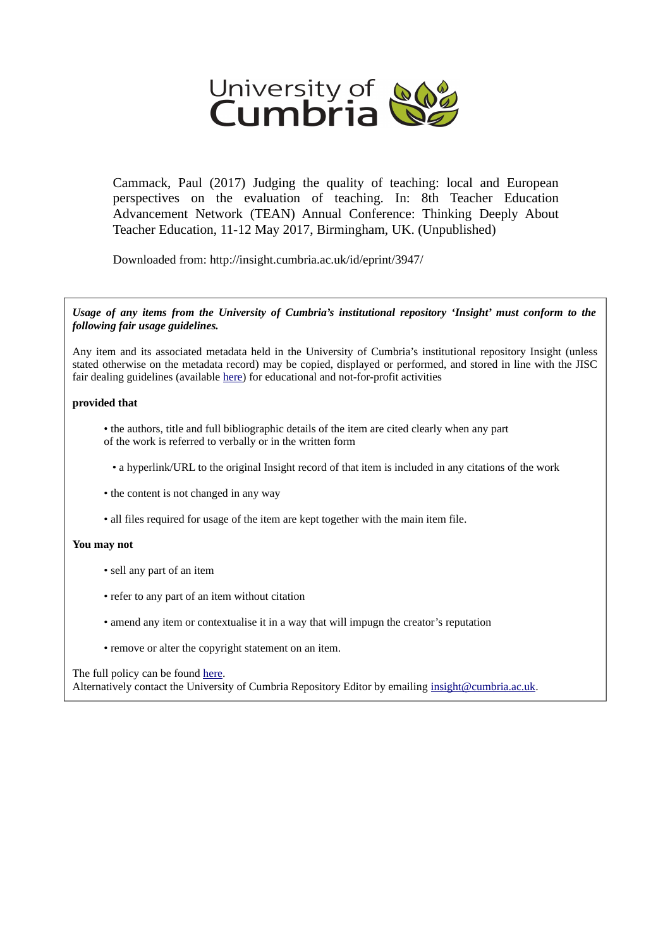

Cammack, Paul (2017) Judging the quality of teaching: local and European perspectives on the evaluation of teaching. In: 8th Teacher Education Advancement Network (TEAN) Annual Conference: Thinking Deeply About Teacher Education, 11-12 May 2017, Birmingham, UK. (Unpublished)

Downloaded from: http://insight.cumbria.ac.uk/id/eprint/3947/

*Usage of any items from the University of Cumbria's institutional repository 'Insight' must conform to the following fair usage guidelines.*

Any item and its associated metadata held in the University of Cumbria's institutional repository Insight (unless stated otherwise on the metadata record) may be copied, displayed or performed, and stored in line with the JISC fair dealing guidelines (available [here\)](http://www.ukoln.ac.uk/services/elib/papers/pa/fair/) for educational and not-for-profit activities

### **provided that**

• the authors, title and full bibliographic details of the item are cited clearly when any part of the work is referred to verbally or in the written form

• a hyperlink/URL to the original Insight record of that item is included in any citations of the work

- the content is not changed in any way
- all files required for usage of the item are kept together with the main item file.

### **You may not**

- sell any part of an item
- refer to any part of an item without citation
- amend any item or contextualise it in a way that will impugn the creator's reputation
- remove or alter the copyright statement on an item.

#### The full policy can be found [here.](http://insight.cumbria.ac.uk/legal.html#section5)

Alternatively contact the University of Cumbria Repository Editor by emailing [insight@cumbria.ac.uk.](mailto:insight@cumbria.ac.uk)